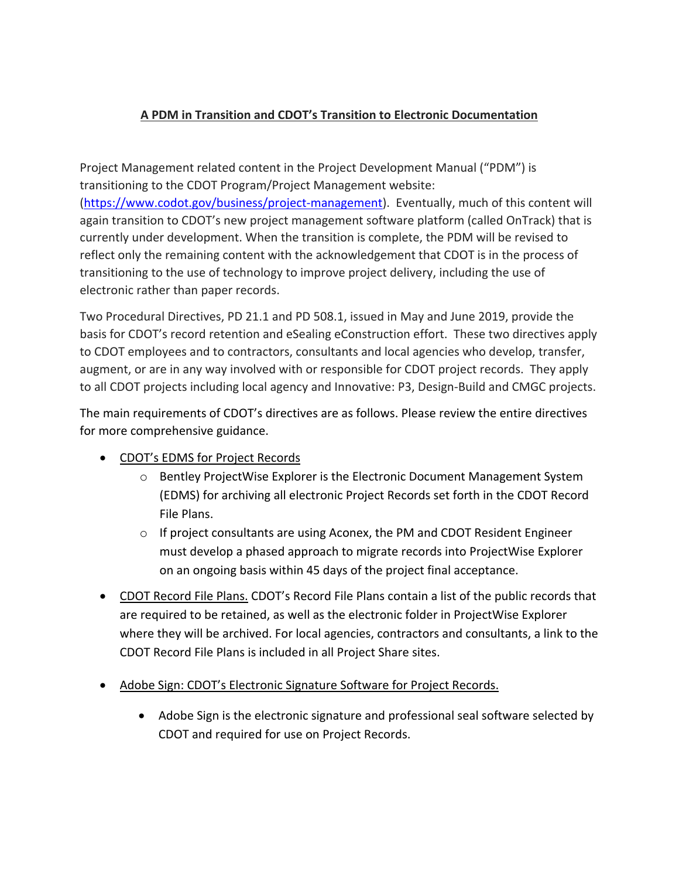## **A PDM in Transition and CDOT's Transition to Electronic Documentation**

Project Management related content in the Project Development Manual ("PDM") is transitioning to the CDOT Program/Project Management website: [\(https://www.codot.gov/business/project-management\)](https://www.codot.gov/business/project-management). Eventually, much of this content will again transition to CDOT's new project management software platform (called OnTrack) that is currently under development. When the transition is complete, the PDM will be revised to reflect only the remaining content with the acknowledgement that CDOT is in the process of transitioning to the use of technology to improve project delivery, including the use of electronic rather than paper records.

Two Procedural Directives, PD 21.1 and PD 508.1, issued in May and June 2019, provide the basis for CDOT's record retention and eSealing eConstruction effort. These two directives apply to CDOT employees and to contractors, consultants and local agencies who develop, transfer, augment, or are in any way involved with or responsible for CDOT project records. They apply to all CDOT projects including local agency and Innovative: P3, Design-Build and CMGC projects.

The main requirements of CDOT's directives are as follows. Please review the entire directives for more comprehensive guidance.

- CDOT's EDMS for Project Records
	- o Bentley ProjectWise Explorer is the Electronic Document Management System (EDMS) for archiving all electronic Project Records set forth in the CDOT Record File Plans.
	- $\circ$  If project consultants are using Aconex, the PM and CDOT Resident Engineer must develop a phased approach to migrate records into ProjectWise Explorer on an ongoing basis within 45 days of the project final acceptance.
- CDOT Record File Plans. CDOT's Record File Plans contain a list of the public records that are required to be retained, as well as the electronic folder in ProjectWise Explorer where they will be archived. For local agencies, contractors and consultants, a link to the CDOT Record File Plans is included in all Project Share sites.
- Adobe Sign: CDOT's Electronic Signature Software for Project Records.
	- Adobe Sign is the electronic signature and professional seal software selected by CDOT and required for use on Project Records.